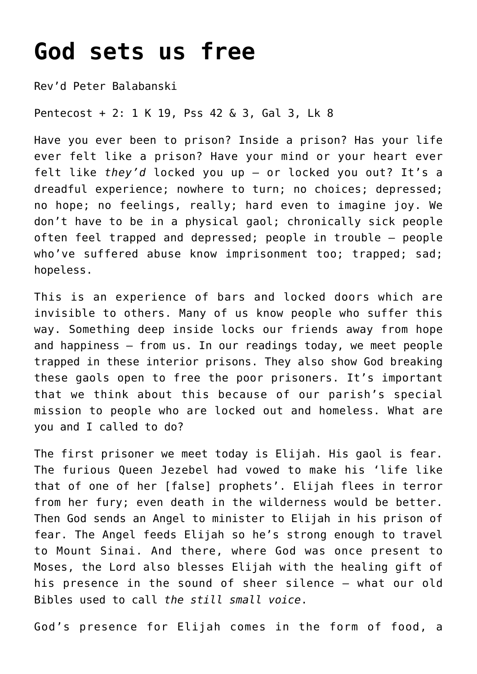## **[God sets us free](https://stjohnsadelaide.org.au/god-sets-us-free/)**

Rev'd Peter Balabanski

Pentecost + 2: 1 K 19, Pss 42 & 3, Gal 3, Lk 8

Have you ever been to prison? Inside a prison? Has your life ever felt like a prison? Have your mind or your heart ever felt like *they'd* locked you up – or locked you out? It's a dreadful experience; nowhere to turn; no choices; depressed; no hope; no feelings, really; hard even to imagine joy. We don't have to be in a physical gaol; chronically sick people often feel trapped and depressed; people in trouble – people who've suffered abuse know imprisonment too; trapped; sad; hopeless.

This is an experience of bars and locked doors which are invisible to others. Many of us know people who suffer this way. Something deep inside locks our friends away from hope and happiness – from us. In our readings today, we meet people trapped in these interior prisons. They also show God breaking these gaols open to free the poor prisoners. It's important that we think about this because of our parish's special mission to people who are locked out and homeless. What are you and I called to do?

The first prisoner we meet today is Elijah. His gaol is fear. The furious Queen Jezebel had vowed to make his 'life like that of one of her [false] prophets'. Elijah flees in terror from her fury; even death in the wilderness would be better. Then God sends an Angel to minister to Elijah in his prison of fear. The Angel feeds Elijah so he's strong enough to travel to Mount Sinai. And there, where God was once present to Moses, the Lord also blesses Elijah with the healing gift of his presence in the sound of sheer silence – what our old Bibles used to call *the still small voice*.

God's presence for Elijah comes in the form of food, a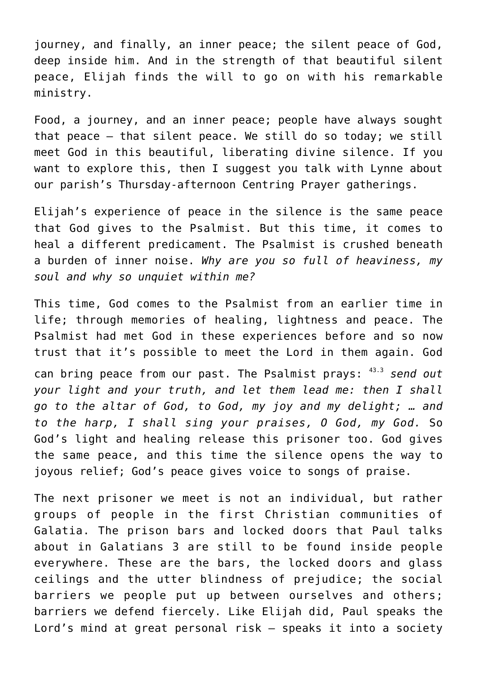journey, and finally, an inner peace; the silent peace of God, deep inside him. And in the strength of that beautiful silent peace, Elijah finds the will to go on with his remarkable ministry.

Food, a journey, and an inner peace; people have always sought that peace – that silent peace. We still do so today; we still meet God in this beautiful, liberating divine silence. If you want to explore this, then I suggest you talk with Lynne about our parish's Thursday-afternoon Centring Prayer gatherings.

Elijah's experience of peace in the silence is the same peace that God gives to the Psalmist. But this time, it comes to heal a different predicament. The Psalmist is crushed beneath a burden of inner noise. *Why are you so full of heaviness, my soul and why so unquiet within me?*

This time, God comes to the Psalmist from an earlier time in life; through memories of healing, lightness and peace. The Psalmist had met God in these experiences before and so now trust that it's possible to meet the Lord in them again. God can bring peace from our past. The Psalmist prays: 43.3 *send out your light and your truth, and let them lead me: then I shall go to the altar of God, to God, my joy and my delight; … and to the harp, I shall sing your praises, O God, my God.* So God's light and healing release this prisoner too. God gives the same peace, and this time the silence opens the way to joyous relief; God's peace gives voice to songs of praise.

The next prisoner we meet is not an individual, but rather groups of people in the first Christian communities of Galatia. The prison bars and locked doors that Paul talks about in Galatians 3 are still to be found inside people everywhere. These are the bars, the locked doors and glass ceilings and the utter blindness of prejudice; the social barriers we people put up between ourselves and others; barriers we defend fiercely. Like Elijah did, Paul speaks the Lord's mind at great personal risk – speaks it into a society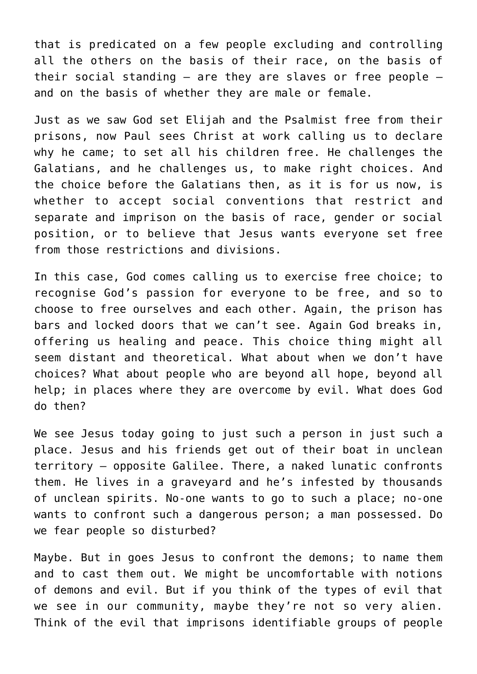that is predicated on a few people excluding and controlling all the others on the basis of their race, on the basis of their social standing  $-$  are they are slaves or free people  $$ and on the basis of whether they are male or female.

Just as we saw God set Elijah and the Psalmist free from their prisons, now Paul sees Christ at work calling us to declare why he came; to set all his children free. He challenges the Galatians, and he challenges us, to make right choices. And the choice before the Galatians then, as it is for us now, is whether to accept social conventions that restrict and separate and imprison on the basis of race, gender or social position, or to believe that Jesus wants everyone set free from those restrictions and divisions.

In this case, God comes calling us to exercise free choice; to recognise God's passion for everyone to be free, and so to choose to free ourselves and each other. Again, the prison has bars and locked doors that we can't see. Again God breaks in, offering us healing and peace. This choice thing might all seem distant and theoretical. What about when we don't have choices? What about people who are beyond all hope, beyond all help; in places where they are overcome by evil. What does God do then?

We see Jesus today going to just such a person in just such a place. Jesus and his friends get out of their boat in unclean territory – opposite Galilee. There, a naked lunatic confronts them. He lives in a graveyard and he's infested by thousands of unclean spirits. No-one wants to go to such a place; no-one wants to confront such a dangerous person; a man possessed. Do we fear people so disturbed?

Maybe. But in goes Jesus to confront the demons; to name them and to cast them out. We might be uncomfortable with notions of demons and evil. But if you think of the types of evil that we see in our community, maybe they're not so very alien. Think of the evil that imprisons identifiable groups of people